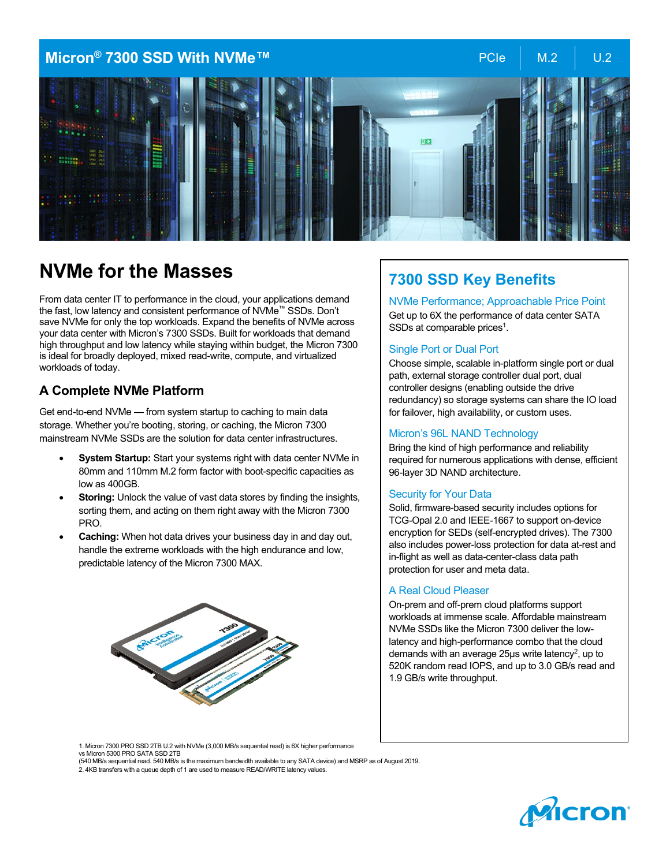### **Micron® 7300 SSD With NVMe™** And All the Music PCIe M.2 DD.2



# **NVMe for the Masses**

From data center IT to performance in the cloud, your applications demand the fast, low latency and consistent performance of NVMe™ SSDs. Don't save NVMe for only the top workloads. Expand the benefits of NVMe across your data center with Micron's 7300 SSDs. Built for workloads that demand high throughput and low latency while staying within budget, the Micron 7300 is ideal for broadly deployed, mixed read-write, compute, and virtualized workloads of today.

### **A Complete NVMe Platform**

Get end-to-end NVMe — from system startup to caching to main data storage. Whether you're booting, storing, or caching, the Micron 7300 mainstream NVMe SSDs are the solution for data center infrastructures.

- **System Startup:** Start your systems right with data center NVMe in 80mm and 110mm M.2 form factor with boot-specific capacities as low as 400GB.
- **Storing:** Unlock the value of vast data stores by finding the insights, sorting them, and acting on them right away with the Micron 7300 PRO.
- **Caching:** When hot data drives your business day in and day out, handle the extreme workloads with the high endurance and low, predictable latency of the Micron 7300 MAX.



## **7300 SSD Key Benefits**

### NVMe Performance; Approachable Price Point

Get up to 6X the performance of data center SATA SSDs at comparable prices<sup>1</sup>.

#### Single Port or Dual Port

Choose simple, scalable in-platform single port or dual path, external storage controller dual port, dual controller designs (enabling outside the drive redundancy) so storage systems can share the IO load for failover, high availability, or custom uses.

#### Micron's 96L NAND Technology

Bring the kind of high performance and reliability required for numerous applications with dense, efficient 96-layer 3D NAND architecture.

#### Security for Your Data

Solid, firmware-based security includes options for TCG-Opal 2.0 and IEEE-1667 to support on-device encryption for SEDs (self-encrypted drives). The 7300 also includes power-loss protection for data at-rest and in-flight as well as data-center-class data path protection for user and meta data.

#### A Real Cloud Pleaser

On-prem and off-prem cloud platforms support workloads at immense scale. Affordable mainstream NVMe SSDs like the Micron 7300 deliver the lowlatency and high-performance combo that the cloud demands with an average 25µs write latency<sup>2</sup>, up to 520K random read IOPS, and up to 3.0 GB/s read and 1.9 GB/s write throughput.

1. Micron 7300 PRO SSD 2TB U.2 with NVMe (3,000 MB/s sequential read) is 6X higher performance vs Micron 5300 PRO SATA SSD 2TB

(540 MB/s sequential read. 540 MB/s is the maximum bandwidth available to any SATA device) and MSRP as of August 2019. 2. 4KB transfers with a queue depth of 1 are used to measure READ/WRITE latency values.

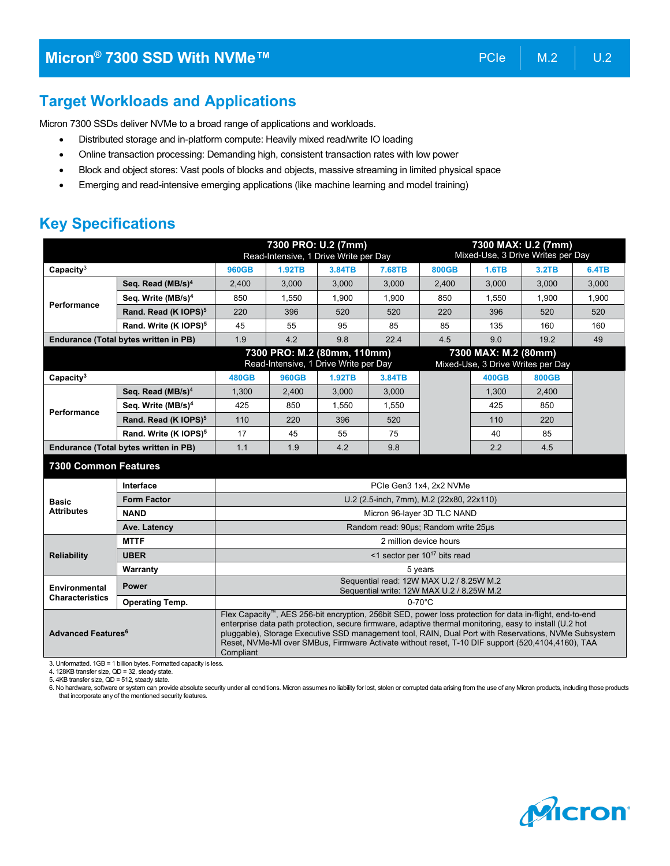Micron 7300 SSDs deliver NVMe to a broad range of applications and workloads.

- Distributed storage and in-platform compute: Heavily mixed read/write IO loading
- Online transaction processing: Demanding high, consistent transaction rates with low power
- Block and object stores: Vast pools of blocks and objects, massive streaming in limited physical space
- Emerging and read-intensive emerging applications (like machine learning and model training)

## **Key Specifications**

|                                       |                                   | 7300 PRO: U.2 (7mm)<br>Read-Intensive, 1 Drive Write per Day                                                                                                                                                                                                                                                                                                                                                                                               |                                                                      |        | 7300 MAX: U.2 (7mm) |                                                           |              |              |              |
|---------------------------------------|-----------------------------------|------------------------------------------------------------------------------------------------------------------------------------------------------------------------------------------------------------------------------------------------------------------------------------------------------------------------------------------------------------------------------------------------------------------------------------------------------------|----------------------------------------------------------------------|--------|---------------------|-----------------------------------------------------------|--------------|--------------|--------------|
|                                       |                                   |                                                                                                                                                                                                                                                                                                                                                                                                                                                            |                                                                      |        |                     | Mixed-Use, 3 Drive Writes per Day                         |              |              |              |
| Capacity $3$                          |                                   | <b>960GB</b>                                                                                                                                                                                                                                                                                                                                                                                                                                               | <b>1.92TB</b>                                                        | 3.84TB | 7.68TB              | <b>800GB</b>                                              | 1.6TB        | 3.2TB        | <b>6.4TB</b> |
|                                       | Seq. Read (MB/s) <sup>4</sup>     | 2,400                                                                                                                                                                                                                                                                                                                                                                                                                                                      | 3.000                                                                | 3,000  | 3.000               | 2,400                                                     | 3.000        | 3,000        | 3.000        |
| Performance                           | Seq. Write (MB/s) <sup>4</sup>    | 850                                                                                                                                                                                                                                                                                                                                                                                                                                                        | 1,550                                                                | 1,900  | 1,900               | 850                                                       | 1,550        | 1,900        | 1,900        |
|                                       | Rand. Read (K IOPS) <sup>5</sup>  | 220                                                                                                                                                                                                                                                                                                                                                                                                                                                        | 396                                                                  | 520    | 520                 | 220                                                       | 396          | 520          | 520          |
|                                       | Rand. Write (K IOPS) <sup>5</sup> | 45                                                                                                                                                                                                                                                                                                                                                                                                                                                         | 55                                                                   | 95     | 85                  | 85                                                        | 135          | 160          | 160          |
| Endurance (Total bytes written in PB) |                                   | 1.9                                                                                                                                                                                                                                                                                                                                                                                                                                                        | 4.2                                                                  | 9.8    | 22.4                | 4.5                                                       | 9.0          | 19.2         | 49           |
|                                       |                                   |                                                                                                                                                                                                                                                                                                                                                                                                                                                            | 7300 PRO: M.2 (80mm, 110mm)<br>Read-Intensive, 1 Drive Write per Day |        |                     | 7300 MAX: M.2 (80mm)<br>Mixed-Use, 3 Drive Writes per Day |              |              |              |
| Capacity <sup>3</sup>                 |                                   | <b>480GB</b>                                                                                                                                                                                                                                                                                                                                                                                                                                               | <b>960GB</b>                                                         | 1.92TB | 3.84TB              |                                                           | <b>400GB</b> | <b>800GB</b> |              |
|                                       | Seq. Read $(MB/s)^4$              | 1,300                                                                                                                                                                                                                                                                                                                                                                                                                                                      | 2,400                                                                | 3,000  | 3.000               |                                                           | 1,300        | 2,400        |              |
|                                       | Seq. Write (MB/s) <sup>4</sup>    | 425                                                                                                                                                                                                                                                                                                                                                                                                                                                        | 850                                                                  | 1,550  | 1,550               |                                                           | 425          | 850          |              |
| Performance                           | Rand. Read (K IOPS) <sup>5</sup>  | 110                                                                                                                                                                                                                                                                                                                                                                                                                                                        | 220                                                                  | 396    | 520                 |                                                           | 110          | 220          |              |
|                                       | Rand. Write (K IOPS) <sup>5</sup> | 17                                                                                                                                                                                                                                                                                                                                                                                                                                                         | 45                                                                   | 55     | 75                  |                                                           | 40           | 85           |              |
| Endurance (Total bytes written in PB) |                                   | 1.1                                                                                                                                                                                                                                                                                                                                                                                                                                                        | 1.9                                                                  | 4.2    | 9.8                 |                                                           | 2.2          | 4.5          |              |
| <b>7300 Common Features</b>           |                                   |                                                                                                                                                                                                                                                                                                                                                                                                                                                            |                                                                      |        |                     |                                                           |              |              |              |
|                                       | Interface                         | PCIe Gen3 1x4, 2x2 NVMe                                                                                                                                                                                                                                                                                                                                                                                                                                    |                                                                      |        |                     |                                                           |              |              |              |
| <b>Basic</b>                          | <b>Form Factor</b>                | U.2 (2.5-inch, 7mm), M.2 (22x80, 22x110)                                                                                                                                                                                                                                                                                                                                                                                                                   |                                                                      |        |                     |                                                           |              |              |              |
| <b>Attributes</b>                     | <b>NAND</b>                       | Micron 96-layer 3D TLC NAND                                                                                                                                                                                                                                                                                                                                                                                                                                |                                                                      |        |                     |                                                           |              |              |              |
|                                       | Ave. Latency                      | Random read: 90us; Random write 25us                                                                                                                                                                                                                                                                                                                                                                                                                       |                                                                      |        |                     |                                                           |              |              |              |
| <b>Reliability</b>                    | <b>MTTF</b>                       | 2 million device hours                                                                                                                                                                                                                                                                                                                                                                                                                                     |                                                                      |        |                     |                                                           |              |              |              |
|                                       | <b>UBER</b>                       | <1 sector per $10^{17}$ bits read                                                                                                                                                                                                                                                                                                                                                                                                                          |                                                                      |        |                     |                                                           |              |              |              |
|                                       | Warranty                          | 5 years                                                                                                                                                                                                                                                                                                                                                                                                                                                    |                                                                      |        |                     |                                                           |              |              |              |
| <b>Environmental</b>                  | <b>Power</b>                      | Sequential read: 12W MAX U.2 / 8.25W M.2<br>Sequential write: 12W MAX U.2 / 8.25W M.2                                                                                                                                                                                                                                                                                                                                                                      |                                                                      |        |                     |                                                           |              |              |              |
| <b>Characteristics</b>                | <b>Operating Temp.</b>            | $0-70^{\circ}$ C                                                                                                                                                                                                                                                                                                                                                                                                                                           |                                                                      |        |                     |                                                           |              |              |              |
| <b>Advanced Features<sup>6</sup></b>  |                                   | Flex Capacity <sup>™</sup> , AES 256-bit encryption, 256bit SED, power loss protection for data in-flight, end-to-end<br>enterprise data path protection, secure firmware, adaptive thermal monitoring, easy to install (U.2 hot<br>pluggable), Storage Executive SSD management tool, RAIN, Dual Port with Reservations, NVMe Subsystem<br>Reset, NVMe-MI over SMBus, Firmware Activate without reset, T-10 DIF support (520,4104,4160), TAA<br>Compliant |                                                                      |        |                     |                                                           |              |              |              |

3. Unformatted. 1GB = 1 billion bytes. Formatted capacity is less.

4. 128KB transfer size, QD = 32, steady state.

5. 4KB transfer size, QD = 512, steady state.

6. No hardware, software or system can provide absolute security under all conditions. Micron assumes no liability for lost, stolen or corrupted data arising from the use of any Micron products, including those products that incorporate any of the mentioned security features.

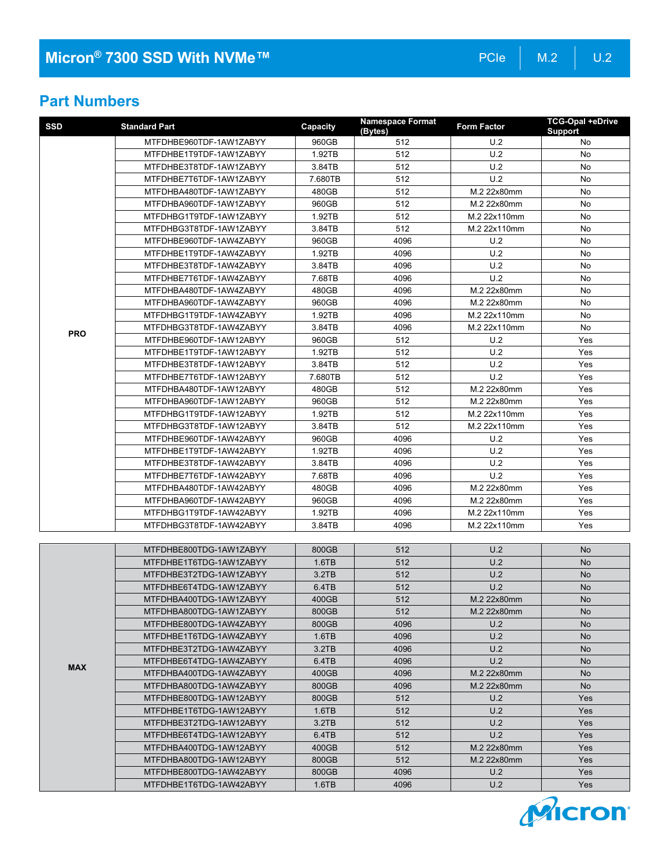### **Part Numbers**

| <b>SSD</b> | <b>Standard Part</b>    | Capacity | <b>Namespace Format</b><br>(Bytes) | <b>Form Factor</b> | <b>TCG-Opal +eDrive</b><br>Support |
|------------|-------------------------|----------|------------------------------------|--------------------|------------------------------------|
|            | MTFDHBE960TDF-1AW1ZABYY | 960GB    | 512                                | U.2                | No                                 |
|            | MTFDHBE1T9TDF-1AW1ZABYY | 1.92TB   | 512                                | U.2                | No.                                |
|            | MTFDHBE3T8TDF-1AW1ZABYY | 3.84TB   | 512                                | U.2                | No                                 |
|            | MTFDHBE7T6TDF-1AW1ZABYY | 7.680TB  | 512                                | U.2                | No                                 |
|            | MTFDHBA480TDF-1AW1ZABYY | 480GB    | 512                                | M.2 22x80mm        | No                                 |
|            | MTFDHBA960TDF-1AW1ZABYY | 960GB    | 512                                | M.2 22x80mm        | No                                 |
|            | MTFDHBG1T9TDF-1AW1ZABYY | 1.92TB   | 512                                | M.2 22x110mm       | No                                 |
|            | MTFDHBG3T8TDF-1AW1ZABYY | 3.84TB   | 512                                | M.2 22x110mm       | No                                 |
|            | MTFDHBE960TDF-1AW4ZABYY | 960GB    | 4096                               | U.2                | No                                 |
|            | MTFDHBE1T9TDF-1AW4ZABYY | 1.92TB   | 4096                               | U.2                | No                                 |
|            | MTFDHBE3T8TDF-1AW4ZABYY | 3.84TB   | 4096                               | U.2                | No                                 |
|            | MTFDHBE7T6TDF-1AW4ZABYY | 7.68TB   | 4096                               | U.2                | No                                 |
|            | MTFDHBA480TDF-1AW4ZABYY | 480GB    | 4096                               | M.2 22x80mm        | No                                 |
|            | MTFDHBA960TDF-1AW4ZABYY | 960GB    | 4096                               | M.2 22x80mm        | No                                 |
|            | MTFDHBG1T9TDF-1AW4ZABYY | 1.92TB   | 4096                               | M.2 22x110mm       | No                                 |
| <b>PRO</b> | MTFDHBG3T8TDF-1AW4ZABYY | 3.84TB   | 4096                               | M.2 22x110mm       | No                                 |
|            | MTFDHBE960TDF-1AW12ABYY | 960GB    | 512                                | U.2                | Yes                                |
|            | MTFDHBE1T9TDF-1AW12ABYY | 1.92TB   | 512                                | U.2                | Yes                                |
|            | MTFDHBE3T8TDF-1AW12ABYY | 3.84TB   | 512                                | U.2                | Yes                                |
|            | MTFDHBE7T6TDF-1AW12ABYY | 7.680TB  | 512                                | U.2                | Yes                                |
|            | MTFDHBA480TDF-1AW12ABYY | 480GB    | 512                                | M.2 22x80mm        | Yes                                |
|            | MTFDHBA960TDF-1AW12ABYY | 960GB    | 512                                | M.2 22x80mm        | Yes                                |
|            | MTFDHBG1T9TDF-1AW12ABYY | 1.92TB   | 512                                | M.2 22x110mm       | Yes                                |
|            | MTFDHBG3T8TDF-1AW12ABYY | 3.84TB   | 512                                | M.2 22x110mm       | Yes                                |
|            | MTFDHBE960TDF-1AW42ABYY | 960GB    | 4096                               | U.2                | Yes                                |
|            | MTFDHBE1T9TDF-1AW42ABYY | 1.92TB   | 4096                               | U.2                | Yes                                |
|            | MTFDHBE3T8TDF-1AW42ABYY | 3.84TB   | 4096                               | U.2                | Yes                                |
|            | MTFDHBE7T6TDF-1AW42ABYY | 7.68TB   | 4096                               | U.2                | Yes                                |
|            | MTFDHBA480TDF-1AW42ABYY | 480GB    | 4096                               | M.2 22x80mm        | Yes                                |
|            | MTFDHBA960TDF-1AW42ABYY | 960GB    | 4096                               | M.2 22x80mm        | Yes                                |
|            | MTFDHBG1T9TDF-1AW42ABYY | 1.92TB   | 4096                               | M.2 22x110mm       | Yes                                |
|            | MTFDHBG3T8TDF-1AW42ABYY | 3.84TB   | 4096                               | M.2 22x110mm       | Yes                                |
|            | MTFDHBE800TDG-1AW1ZABYY | 800GB    | 512                                | U.2                | No                                 |
|            | MTFDHBE1T6TDG-1AW1ZABYY | 1.6TB    | 512                                | U.2                | No                                 |
|            | MTFDHBE3T2TDG-1AW1ZABYY | 3.2TB    | 512                                | U.2                | <b>No</b>                          |
|            | MTFDHBE6T4TDG-1AW1ZABYY | 6.4TB    | 512                                | U.2                | <b>No</b>                          |
|            | MTFDHBA400TDG-1AW1ZABYY | 400GB    | 512                                | M.2 22x80mm        | No                                 |
|            | MTFDHBA800TDG-1AW1ZABYY | 800GB    | 512                                | M.2 22x80mm        | No.                                |
| <b>MAX</b> | MTFDHBE800TDG-1AW4ZABYY | 800GB    | 4096                               | U.2                | No                                 |
|            | MTFDHBE1T6TDG-1AW4ZABYY | 1.6TB    | 4096                               | U.2                | No                                 |
|            | MTFDHBE3T2TDG-1AW4ZABYY | 3.2TB    | 4096                               | U.2                | <b>No</b>                          |
|            | MTFDHBE6T4TDG-1AW4ZABYY | 6.4TB    | 4096                               | U.2                | No                                 |
|            | MTFDHBA400TDG-1AW4ZABYY | 400GB    | 4096                               | M.2 22x80mm        | No                                 |
|            | MTFDHBA800TDG-1AW4ZABYY | 800GB    | 4096                               | M.2 22x80mm        | No                                 |
|            | MTFDHBE800TDG-1AW12ABYY | 800GB    | 512                                | U.2                | Yes                                |
|            | MTFDHBE1T6TDG-1AW12ABYY | 1.6TB    | 512                                | U.2                | Yes                                |
|            | MTFDHBE3T2TDG-1AW12ABYY | 3.2TB    | 512                                | U.2                | Yes                                |
|            | MTFDHBE6T4TDG-1AW12ABYY | 6.4TB    | 512                                | U.2                | <b>Yes</b>                         |
|            | MTFDHBA400TDG-1AW12ABYY | 400GB    | 512                                | M.2 22x80mm        | Yes                                |
|            | MTFDHBA800TDG-1AW12ABYY | 800GB    | 512                                | M.2 22x80mm        | Yes                                |
|            | MTFDHBE800TDG-1AW42ABYY | 800GB    | 4096                               | U.2                | Yes                                |
|            | MTFDHBE1T6TDG-1AW42ABYY | 1.6TB    | 4096                               | U.2                | Yes                                |